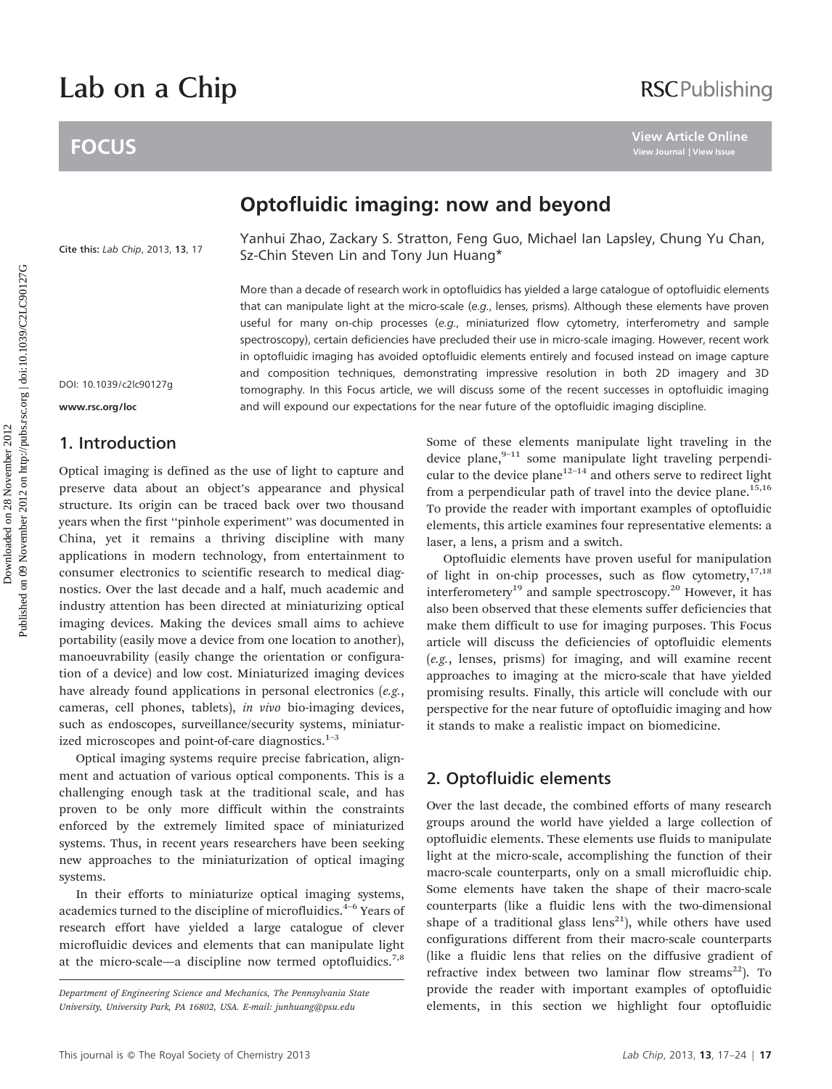# Lab on a Chip

# **FOCUS**

# Optofluidic imaging: now and beyond

[Cite this:](http://dx.doi.org/10.1039/c2lc90127g) Lab Chip, 2013, 13, 17

Yanhui Zhao, Zackary S. Stratton, Feng Guo, Michael Ian Lapsley, Chung Yu Chan, Sz-Chin Steven Lin and Tony Jun Huang\*

More than a decade of research work in optofluidics has yielded a large catalogue of optofluidic elements that can manipulate light at the micro-scale (e.g., lenses, prisms). Although these elements have proven useful for many on-chip processes (e.g., miniaturized flow cytometry, interferometry and sample spectroscopy), certain deficiencies have precluded their use in micro-scale imaging. However, recent work in optofluidic imaging has avoided optofluidic elements entirely and focused instead on image capture and composition techniques, demonstrating impressive resolution in both 2D imagery and 3D tomography. In this Focus article, we will discuss some of the recent successes in optofluidic imaging and will expound our expectations for the near future of the optofluidic imaging discipline. **POCUS**<br>
Doptofluidic imaging: now and beyond<br>
Cite this task cho. 2013, 13, 17<br>
Sachin Step, Zachin Step, Zachin Step, Zachin Step, Zachin Step, Zachin Step, Zachin Step, Zachin Step, Michael lan Lapsley, Chung Yu Ch<br>
Sa

DOI: 10.1039/c2lc90127g

#### www.rsc.org/loc

## 1. Introduction

Optical imaging is defined as the use of light to capture and preserve data about an object's appearance and physical structure. Its origin can be traced back over two thousand years when the first ''pinhole experiment'' was documented in China, yet it remains a thriving discipline with many applications in modern technology, from entertainment to consumer electronics to scientific research to medical diagnostics. Over the last decade and a half, much academic and industry attention has been directed at miniaturizing optical imaging devices. Making the devices small aims to achieve portability (easily move a device from one location to another), manoeuvrability (easily change the orientation or configuration of a device) and low cost. Miniaturized imaging devices have already found applications in personal electronics (e.g., cameras, cell phones, tablets), in vivo bio-imaging devices, such as endoscopes, surveillance/security systems, miniaturized microscopes and point-of-care diagnostics.<sup>1-3</sup>

Optical imaging systems require precise fabrication, alignment and actuation of various optical components. This is a challenging enough task at the traditional scale, and has proven to be only more difficult within the constraints enforced by the extremely limited space of miniaturized systems. Thus, in recent years researchers have been seeking new approaches to the miniaturization of optical imaging systems.

In their efforts to miniaturize optical imaging systems, academics turned to the discipline of microfluidics.<sup>4-6</sup> Years of research effort have yielded a large catalogue of clever microfluidic devices and elements that can manipulate light at the micro-scale—a discipline now termed optofluidics.<sup>7,8</sup> Some of these elements manipulate light traveling in the device plane, $9-11$  some manipulate light traveling perpendicular to the device plane<sup>12-14</sup> and others serve to redirect light from a perpendicular path of travel into the device plane. $15,16$ To provide the reader with important examples of optofluidic elements, this article examines four representative elements: a laser, a lens, a prism and a switch.

Optofluidic elements have proven useful for manipulation of light in on-chip processes, such as flow cytometry, $17,18$ interferometery<sup>19</sup> and sample spectroscopy.<sup>20</sup> However, it has also been observed that these elements suffer deficiencies that make them difficult to use for imaging purposes. This Focus article will discuss the deficiencies of optofluidic elements (e.g., lenses, prisms) for imaging, and will examine recent approaches to imaging at the micro-scale that have yielded promising results. Finally, this article will conclude with our perspective for the near future of optofluidic imaging and how it stands to make a realistic impact on biomedicine.

### 2. Optofluidic elements

Over the last decade, the combined efforts of many research groups around the world have yielded a large collection of optofluidic elements. These elements use fluids to manipulate light at the micro-scale, accomplishing the function of their macro-scale counterparts, only on a small microfluidic chip. Some elements have taken the shape of their macro-scale counterparts (like a fluidic lens with the two-dimensional shape of a traditional glass lens<sup>21</sup>), while others have used configurations different from their macro-scale counterparts (like a fluidic lens that relies on the diffusive gradient of refractive index between two laminar flow streams<sup>22</sup>). To provide the reader with important examples of optofluidic elements, in this section we highlight four optofluidic

Department of Engineering Science and Mechanics, The Pennsylvania State University, University Park, PA 16802, USA. E-mail: junhuang@psu.edu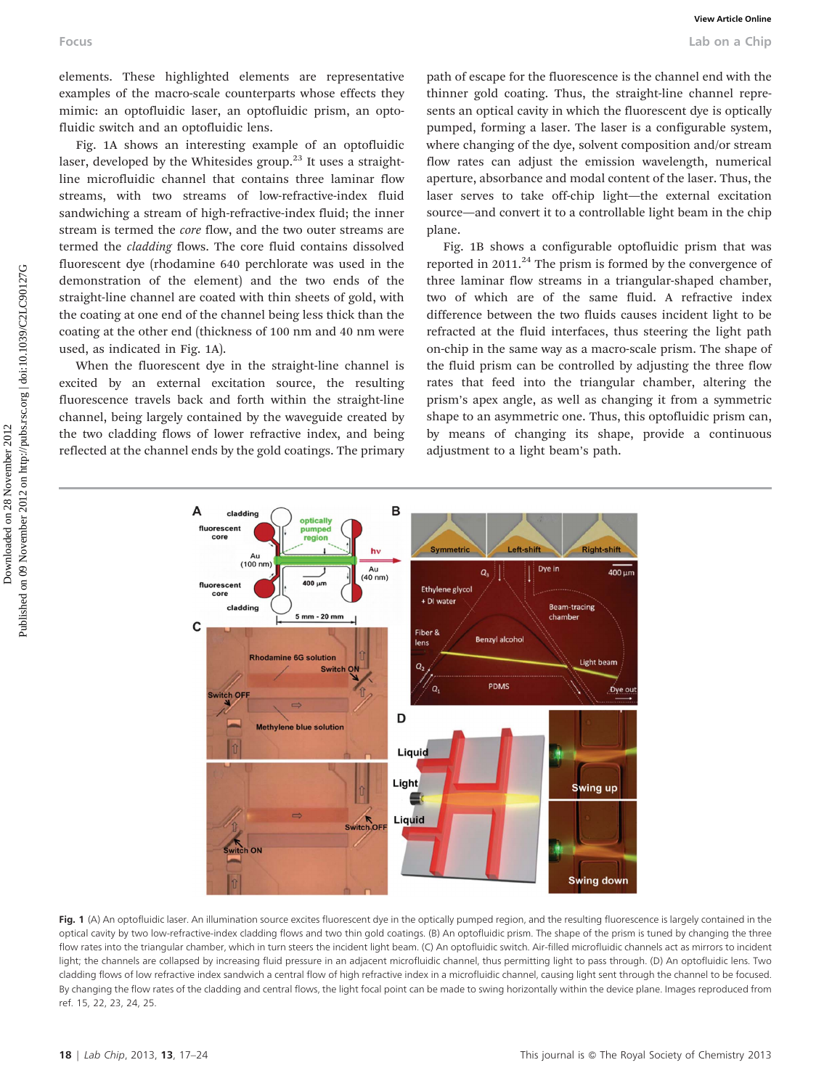elements. These highlighted elements are representative examples of the macro-scale counterparts whose effects they mimic: an optofluidic laser, an optofluidic prism, an optofluidic switch and an optofluidic lens.

Fig. 1A shows an interesting example of an optofluidic laser, developed by the Whitesides group.<sup>23</sup> It uses a straightline microfluidic channel that contains three laminar flow streams, with two streams of low-refractive-index fluid sandwiching a stream of high-refractive-index fluid; the inner stream is termed the core flow, and the two outer streams are termed the cladding flows. The core fluid contains dissolved fluorescent dye (rhodamine 640 perchlorate was used in the demonstration of the element) and the two ends of the straight-line channel are coated with thin sheets of gold, with the coating at one end of the channel being less thick than the coating at the other end (thickness of 100 nm and 40 nm were used, as indicated in Fig. 1A).

When the fluorescent dye in the straight-line channel is excited by an external excitation source, the resulting fluorescence travels back and forth within the straight-line channel, being largely contained by the waveguide created by the two cladding flows of lower refractive index, and being reflected at the channel ends by the gold coatings. The primary path of escape for the fluorescence is the channel end with the thinner gold coating. Thus, the straight-line channel represents an optical cavity in which the fluorescent dye is optically pumped, forming a laser. The laser is a configurable system, where changing of the dye, solvent composition and/or stream flow rates can adjust the emission wavelength, numerical aperture, absorbance and modal content of the laser. Thus, the laser serves to take off-chip light—the external excitation source—and convert it to a controllable light beam in the chip plane.

Fig. 1B shows a configurable optofluidic prism that was reported in  $2011<sup>24</sup>$  The prism is formed by the convergence of three laminar flow streams in a triangular-shaped chamber, two of which are of the same fluid. A refractive index difference between the two fluids causes incident light to be refracted at the fluid interfaces, thus steering the light path on-chip in the same way as a macro-scale prism. The shape of the fluid prism can be controlled by adjusting the three flow rates that feed into the triangular chamber, altering the prism's apex angle, as well as changing it from a symmetric shape to an asymmetric one. Thus, this optofluidic prism can, by means of changing its shape, provide a continuous adjustment to a light beam's path.



Fig. 1 (A) An optofluidic laser. An illumination source excites fluorescent dye in the optically pumped region, and the resulting fluorescence is largely contained in the optical cavity by two low-refractive-index cladding flows and two thin gold coatings. (B) An optofluidic prism. The shape of the prism is tuned by changing the three flow rates into the triangular chamber, which in turn steers the incident light beam. (C) An optofluidic switch. Air-filled microfluidic channels act as mirrors to incident light; the channels are collapsed by increasing fluid pressure in an adjacent microfluidic channel, thus permitting light to pass through. (D) An optofluidic lens. Two cladding flows of low refractive index sandwich a central flow of high refractive index in a microfluidic channel, causing light sent through the channel to be focused. By changing the flow rates of the cladding and central flows, the light focal point can be made to swing horizontally within the device plane. Images reproduced from ref. 15, 22, 23, 24, 25.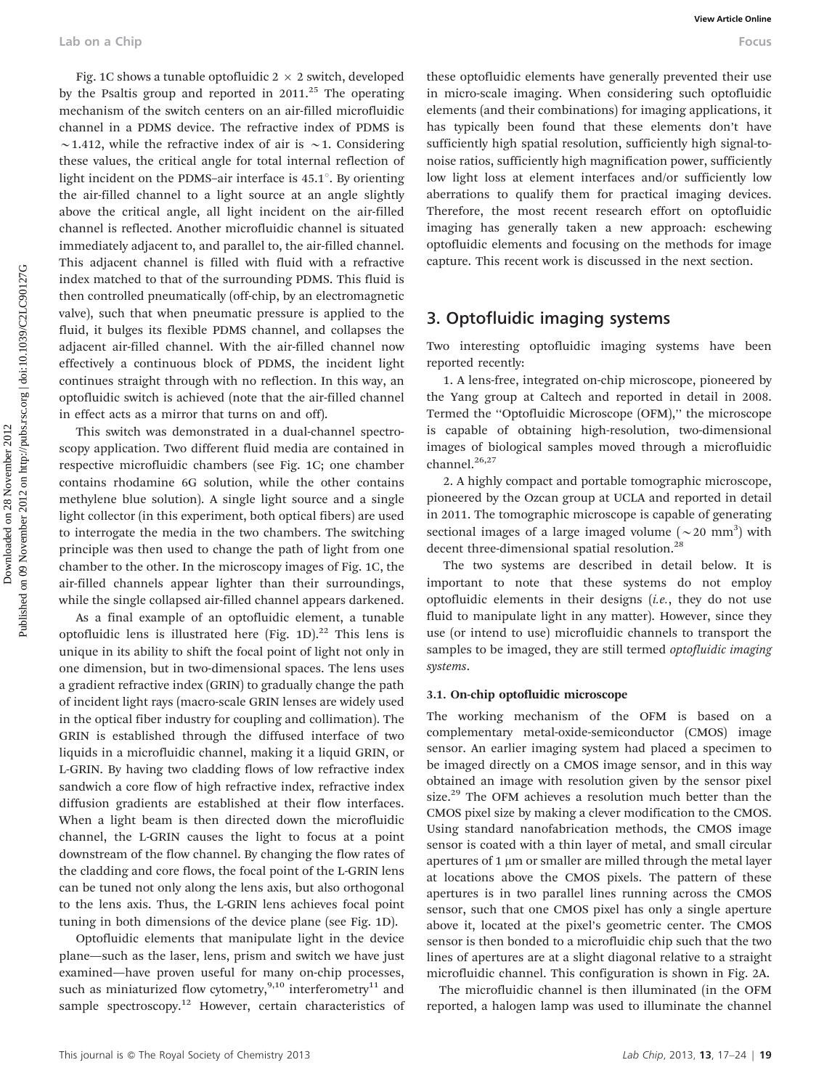Fig. 1C shows a tunable optofluidic  $2 \times 2$  switch, developed by the Psaltis group and reported in  $2011$ <sup>25</sup>. The operating mechanism of the switch centers on an air-filled microfluidic channel in a PDMS device. The refractive index of PDMS is  $\sim$ 1.412, while the refractive index of air is  $\sim$ 1. Considering these values, the critical angle for total internal reflection of light incident on the PDMS–air interface is  $45.1^\circ$ . By orienting the air-filled channel to a light source at an angle slightly above the critical angle, all light incident on the air-filled channel is reflected. Another microfluidic channel is situated immediately adjacent to, and parallel to, the air-filled channel. This adjacent channel is filled with fluid with a refractive index matched to that of the surrounding PDMS. This fluid is then controlled pneumatically (off-chip, by an electromagnetic valve), such that when pneumatic pressure is applied to the fluid, it bulges its flexible PDMS channel, and collapses the adjacent air-filled channel. With the air-filled channel now effectively a continuous block of PDMS, the incident light continues straight through with no reflection. In this way, an optofluidic switch is achieved (note that the air-filled channel in effect acts as a mirror that turns on and off). Lab on a Chip **We white** on a Chip **We showed that the controllation**  $\sim$  Fourth and the controllation of the station and the controllation and the controllation and the controllation and the controllation and the contro

This switch was demonstrated in a dual-channel spectroscopy application. Two different fluid media are contained in respective microfluidic chambers (see Fig. 1C; one chamber contains rhodamine 6G solution, while the other contains methylene blue solution). A single light source and a single light collector (in this experiment, both optical fibers) are used to interrogate the media in the two chambers. The switching principle was then used to change the path of light from one chamber to the other. In the microscopy images of Fig. 1C, the air-filled channels appear lighter than their surroundings, while the single collapsed air-filled channel appears darkened.

As a final example of an optofluidic element, a tunable optofluidic lens is illustrated here (Fig. 1D).<sup>22</sup> This lens is unique in its ability to shift the focal point of light not only in one dimension, but in two-dimensional spaces. The lens uses a gradient refractive index (GRIN) to gradually change the path of incident light rays (macro-scale GRIN lenses are widely used in the optical fiber industry for coupling and collimation). The GRIN is established through the diffused interface of two liquids in a microfluidic channel, making it a liquid GRIN, or L-GRIN. By having two cladding flows of low refractive index sandwich a core flow of high refractive index, refractive index diffusion gradients are established at their flow interfaces. When a light beam is then directed down the microfluidic channel, the L-GRIN causes the light to focus at a point downstream of the flow channel. By changing the flow rates of the cladding and core flows, the focal point of the L-GRIN lens can be tuned not only along the lens axis, but also orthogonal to the lens axis. Thus, the L-GRIN lens achieves focal point tuning in both dimensions of the device plane (see Fig. 1D).

Optofluidic elements that manipulate light in the device plane—such as the laser, lens, prism and switch we have just examined—have proven useful for many on-chip processes, such as miniaturized flow cytometry,<sup>9,10</sup> interferometry<sup>11</sup> and sample spectroscopy.<sup>12</sup> However, certain characteristics of these optofluidic elements have generally prevented their use in micro-scale imaging. When considering such optofluidic elements (and their combinations) for imaging applications, it has typically been found that these elements don't have sufficiently high spatial resolution, sufficiently high signal-tonoise ratios, sufficiently high magnification power, sufficiently low light loss at element interfaces and/or sufficiently low aberrations to qualify them for practical imaging devices. Therefore, the most recent research effort on optofluidic imaging has generally taken a new approach: eschewing optofluidic elements and focusing on the methods for image capture. This recent work is discussed in the next section.

## 3. Optofluidic imaging systems

Two interesting optofluidic imaging systems have been reported recently:

1. A lens-free, integrated on-chip microscope, pioneered by the Yang group at Caltech and reported in detail in 2008. Termed the ''Optofluidic Microscope (OFM),'' the microscope is capable of obtaining high-resolution, two-dimensional images of biological samples moved through a microfluidic channel.<sup>26,27</sup>

2. A highly compact and portable tomographic microscope, pioneered by the Ozcan group at UCLA and reported in detail in 2011. The tomographic microscope is capable of generating sectional images of a large imaged volume  $({\sim}20$  mm<sup>3</sup>) with decent three-dimensional spatial resolution.<sup>28</sup>

The two systems are described in detail below. It is important to note that these systems do not employ optofluidic elements in their designs  $(i.e.,$  they do not use fluid to manipulate light in any matter). However, since they use (or intend to use) microfluidic channels to transport the samples to be imaged, they are still termed *optofluidic imaging* systems.

#### 3.1. On-chip optofluidic microscope

The working mechanism of the OFM is based on a complementary metal-oxide-semiconductor (CMOS) image sensor. An earlier imaging system had placed a specimen to be imaged directly on a CMOS image sensor, and in this way obtained an image with resolution given by the sensor pixel size.<sup>29</sup> The OFM achieves a resolution much better than the CMOS pixel size by making a clever modification to the CMOS. Using standard nanofabrication methods, the CMOS image sensor is coated with a thin layer of metal, and small circular apertures of 1 µm or smaller are milled through the metal layer at locations above the CMOS pixels. The pattern of these apertures is in two parallel lines running across the CMOS sensor, such that one CMOS pixel has only a single aperture above it, located at the pixel's geometric center. The CMOS sensor is then bonded to a microfluidic chip such that the two lines of apertures are at a slight diagonal relative to a straight microfluidic channel. This configuration is shown in Fig. 2A.

The microfluidic channel is then illuminated (in the OFM reported, a halogen lamp was used to illuminate the channel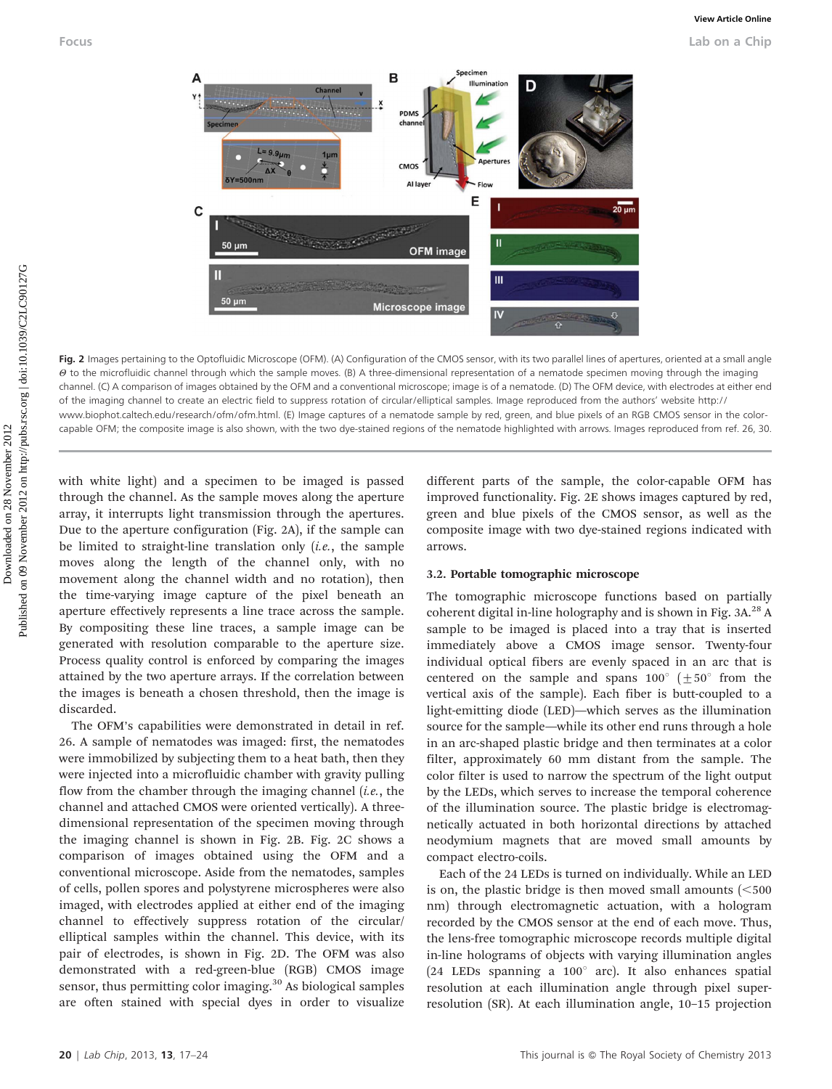

Fig. 2 Images pertaining to the Optofluidic Microscope (OFM). (A) Configuration of the CMOS sensor, with its two parallel lines of apertures, oriented at a small angle  $\theta$  to the microfluidic channel through which the sample moves. (B) A three-dimensional representation of a nematode specimen moving through the imaging channel. (C) A comparison of images obtained by the OFM and a conventional microscope; image is of a nematode. (D) The OFM device, with electrodes at either end of the imaging channel to create an electric field to suppress rotation of circular/elliptical samples. Image reproduced from the authors' website http:// www.biophot.caltech.edu/research/ofm/ofm.html. (E) Image captures of a nematode sample by red, green, and blue pixels of an RGB CMOS sensor in the colorcapable OFM; the composite image is also shown, with the two dye-stained regions of the nematode highlighted with arrows. Images reproduced from ref. 26, 30.

with white light) and a specimen to be imaged is passed through the channel. As the sample moves along the aperture array, it interrupts light transmission through the apertures. Due to the aperture configuration (Fig. 2A), if the sample can be limited to straight-line translation only  $(i.e.,$  the sample moves along the length of the channel only, with no movement along the channel width and no rotation), then the time-varying image capture of the pixel beneath an aperture effectively represents a line trace across the sample. By compositing these line traces, a sample image can be generated with resolution comparable to the aperture size. Process quality control is enforced by comparing the images attained by the two aperture arrays. If the correlation between the images is beneath a chosen threshold, then the image is discarded.

The OFM's capabilities were demonstrated in detail in ref. 26. A sample of nematodes was imaged: first, the nematodes were immobilized by subjecting them to a heat bath, then they were injected into a microfluidic chamber with gravity pulling flow from the chamber through the imaging channel  $(i.e.,$  the channel and attached CMOS were oriented vertically). A threedimensional representation of the specimen moving through the imaging channel is shown in Fig. 2B. Fig. 2C shows a comparison of images obtained using the OFM and a conventional microscope. Aside from the nematodes, samples of cells, pollen spores and polystyrene microspheres were also imaged, with electrodes applied at either end of the imaging channel to effectively suppress rotation of the circular/ elliptical samples within the channel. This device, with its pair of electrodes, is shown in Fig. 2D. The OFM was also demonstrated with a red-green-blue (RGB) CMOS image sensor, thus permitting color imaging.<sup>30</sup> As biological samples are often stained with special dyes in order to visualize different parts of the sample, the color-capable OFM has improved functionality. Fig. 2E shows images captured by red, green and blue pixels of the CMOS sensor, as well as the composite image with two dye-stained regions indicated with arrows.

#### 3.2. Portable tomographic microscope

The tomographic microscope functions based on partially coherent digital in-line holography and is shown in Fig.  $3A^{28}$  A sample to be imaged is placed into a tray that is inserted immediately above a CMOS image sensor. Twenty-four individual optical fibers are evenly spaced in an arc that is centered on the sample and spans  $100^{\circ}$  ( $\pm 50^{\circ}$  from the vertical axis of the sample). Each fiber is butt-coupled to a light-emitting diode (LED)—which serves as the illumination source for the sample—while its other end runs through a hole in an arc-shaped plastic bridge and then terminates at a color filter, approximately 60 mm distant from the sample. The color filter is used to narrow the spectrum of the light output by the LEDs, which serves to increase the temporal coherence of the illumination source. The plastic bridge is electromagnetically actuated in both horizontal directions by attached neodymium magnets that are moved small amounts by compact electro-coils.

Each of the 24 LEDs is turned on individually. While an LED is on, the plastic bridge is then moved small amounts  $\approx$  500 nm) through electromagnetic actuation, with a hologram recorded by the CMOS sensor at the end of each move. Thus, the lens-free tomographic microscope records multiple digital in-line holograms of objects with varying illumination angles (24 LEDs spanning a  $100^\circ$  arc). It also enhances spatial resolution at each illumination angle through pixel superresolution (SR). At each illumination angle, 10–15 projection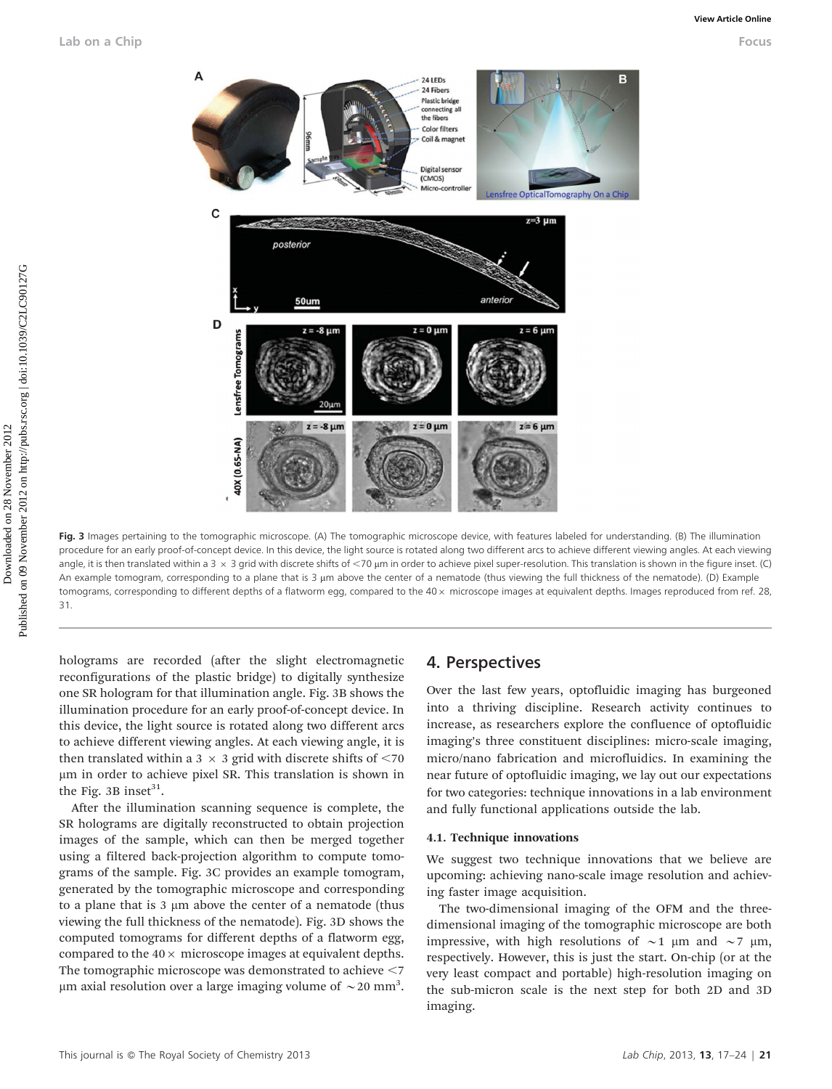

Fig. 3 Images pertaining to the tomographic microscope. (A) The tomographic microscope device, with features labeled for understanding. (B) The illumination procedure for an early proof-of-concept device. In this device, the light source is rotated along two different arcs to achieve different viewing angles. At each viewing angle, it is then translated within a 3  $\times$  3 grid with discrete shifts of <70 µm in order to achieve pixel super-resolution. This translation is shown in the figure inset. (C) An example tomogram, corresponding to a plane that is 3 µm above the center of a nematode (thus viewing the full thickness of the nematode). (D) Example tomograms, corresponding to different depths of a flatworm egg, compared to the  $40 \times$  microscope images at equivalent depths. Images reproduced from ref. 28, 31.

holograms are recorded (after the slight electromagnetic reconfigurations of the plastic bridge) to digitally synthesize one SR hologram for that illumination angle. Fig. 3B shows the illumination procedure for an early proof-of-concept device. In this device, the light source is rotated along two different arcs to achieve different viewing angles. At each viewing angle, it is then translated within a 3  $\times$  3 grid with discrete shifts of <70 mm in order to achieve pixel SR. This translation is shown in the Fig. 3B inset $31$ .

After the illumination scanning sequence is complete, the SR holograms are digitally reconstructed to obtain projection images of the sample, which can then be merged together using a filtered back-projection algorithm to compute tomograms of the sample. Fig. 3C provides an example tomogram, generated by the tomographic microscope and corresponding to a plane that is  $3 \mu m$  above the center of a nematode (thus viewing the full thickness of the nematode). Fig. 3D shows the computed tomograms for different depths of a flatworm egg, compared to the  $40 \times$  microscope images at equivalent depths. The tomographic microscope was demonstrated to achieve  $<$  7  $\mu$ m axial resolution over a large imaging volume of  $\sim$  20 mm<sup>3</sup>.

### 4. Perspectives

Over the last few years, optofluidic imaging has burgeoned into a thriving discipline. Research activity continues to increase, as researchers explore the confluence of optofluidic imaging's three constituent disciplines: micro-scale imaging, micro/nano fabrication and microfluidics. In examining the near future of optofluidic imaging, we lay out our expectations for two categories: technique innovations in a lab environment and fully functional applications outside the lab.

#### 4.1. Technique innovations

We suggest two technique innovations that we believe are upcoming: achieving nano-scale image resolution and achieving faster image acquisition.

The two-dimensional imaging of the OFM and the threedimensional imaging of the tomographic microscope are both impressive, with high resolutions of  $\sim$ 1 µm and  $\sim$ 7 µm, respectively. However, this is just the start. On-chip (or at the very least compact and portable) high-resolution imaging on the sub-micron scale is the next step for both 2D and 3D imaging.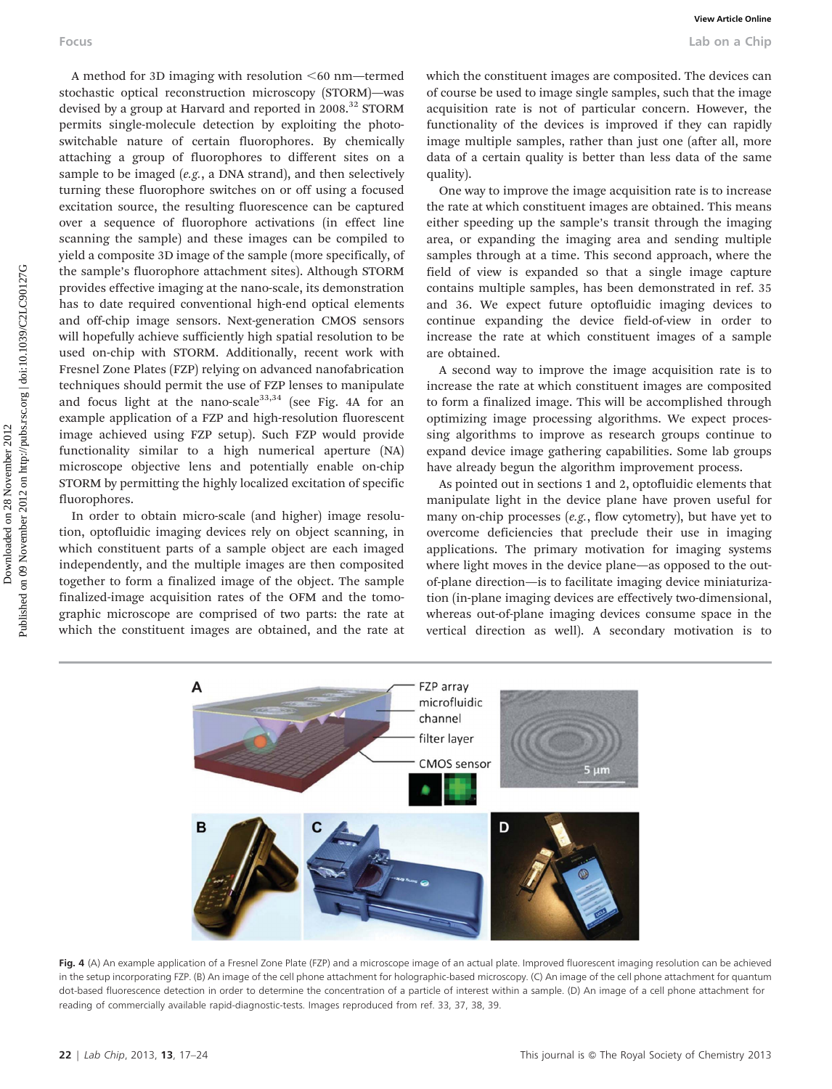A method for 3D imaging with resolution  $<60$  nm—termed stochastic optical reconstruction microscopy (STORM)—was devised by a group at Harvard and reported in 2008.<sup>32</sup> STORM permits single-molecule detection by exploiting the photoswitchable nature of certain fluorophores. By chemically attaching a group of fluorophores to different sites on a sample to be imaged (e.g., a DNA strand), and then selectively turning these fluorophore switches on or off using a focused excitation source, the resulting fluorescence can be captured over a sequence of fluorophore activations (in effect line scanning the sample) and these images can be compiled to yield a composite 3D image of the sample (more specifically, of the sample's fluorophore attachment sites). Although STORM provides effective imaging at the nano-scale, its demonstration has to date required conventional high-end optical elements and off-chip image sensors. Next-generation CMOS sensors will hopefully achieve sufficiently high spatial resolution to be used on-chip with STORM. Additionally, recent work with Fresnel Zone Plates (FZP) relying on advanced nanofabrication techniques should permit the use of FZP lenses to manipulate and focus light at the nano-scale<sup>33,34</sup> (see Fig. 4A for an example application of a FZP and high-resolution fluorescent image achieved using FZP setup). Such FZP would provide functionality similar to a high numerical aperture (NA) microscope objective lens and potentially enable on-chip STORM by permitting the highly localized excitation of specific fluorophores. Downloaded on 28 November 2012 Published on 09 November 2012 on http://pubs.rsc.org | doi:10.1039/C2LC90127G **[View Article Online](http://dx.doi.org/10.1039/c2lc90127g)**

In order to obtain micro-scale (and higher) image resolution, optofluidic imaging devices rely on object scanning, in which constituent parts of a sample object are each imaged independently, and the multiple images are then composited together to form a finalized image of the object. The sample finalized-image acquisition rates of the OFM and the tomographic microscope are comprised of two parts: the rate at which the constituent images are obtained, and the rate at which the constituent images are composited. The devices can of course be used to image single samples, such that the image acquisition rate is not of particular concern. However, the functionality of the devices is improved if they can rapidly image multiple samples, rather than just one (after all, more data of a certain quality is better than less data of the same quality).

One way to improve the image acquisition rate is to increase the rate at which constituent images are obtained. This means either speeding up the sample's transit through the imaging area, or expanding the imaging area and sending multiple samples through at a time. This second approach, where the field of view is expanded so that a single image capture contains multiple samples, has been demonstrated in ref. 35 and 36. We expect future optofluidic imaging devices to continue expanding the device field-of-view in order to increase the rate at which constituent images of a sample are obtained.

A second way to improve the image acquisition rate is to increase the rate at which constituent images are composited to form a finalized image. This will be accomplished through optimizing image processing algorithms. We expect processing algorithms to improve as research groups continue to expand device image gathering capabilities. Some lab groups have already begun the algorithm improvement process.

As pointed out in sections 1 and 2, optofluidic elements that manipulate light in the device plane have proven useful for many on-chip processes (e.g., flow cytometry), but have yet to overcome deficiencies that preclude their use in imaging applications. The primary motivation for imaging systems where light moves in the device plane—as opposed to the outof-plane direction—is to facilitate imaging device miniaturization (in-plane imaging devices are effectively two-dimensional, whereas out-of-plane imaging devices consume space in the vertical direction as well). A secondary motivation is to



Fig. 4 (A) An example application of a Fresnel Zone Plate (FZP) and a microscope image of an actual plate. Improved fluorescent imaging resolution can be achieved in the setup incorporating FZP. (B) An image of the cell phone attachment for holographic-based microscopy. (C) An image of the cell phone attachment for quantum dot-based fluorescence detection in order to determine the concentration of a particle of interest within a sample. (D) An image of a cell phone attachment for reading of commercially available rapid-diagnostic-tests. Images reproduced from ref. 33, 37, 38, 39.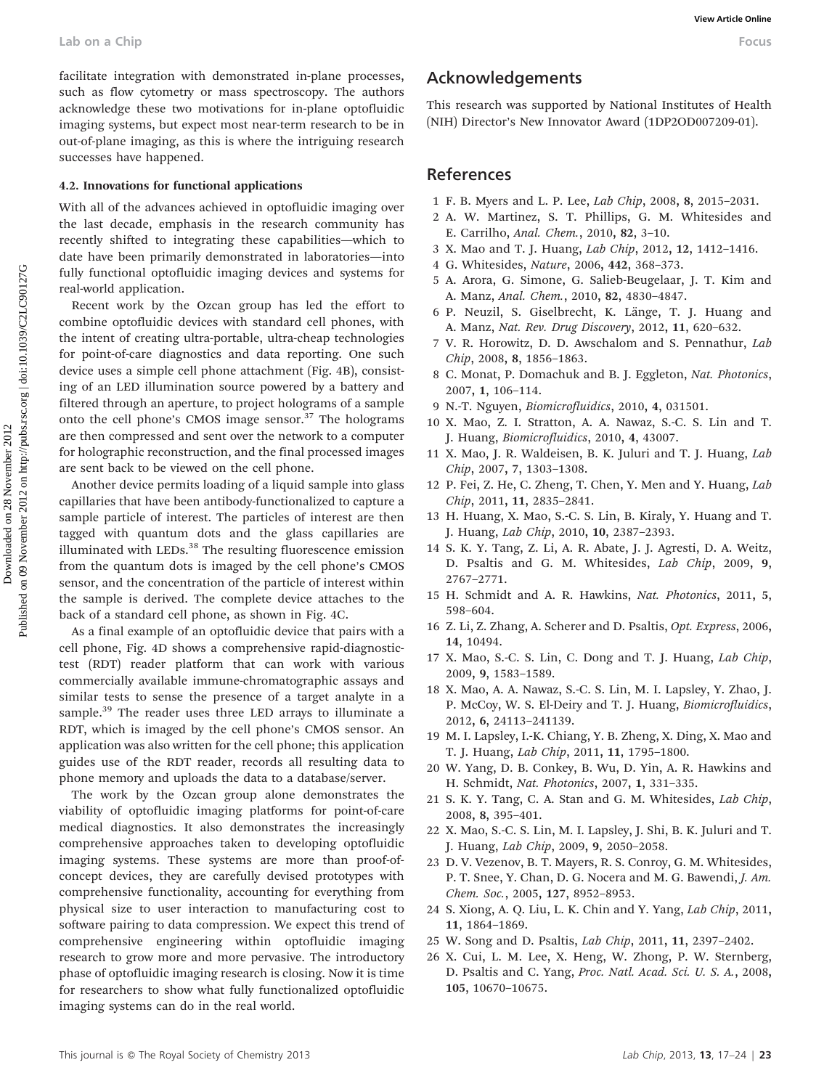facilitate integration with demonstrated in-plane processes, such as flow cytometry or mass spectroscopy. The authors acknowledge these two motivations for in-plane optofluidic imaging systems, but expect most near-term research to be in out-of-plane imaging, as this is where the intriguing research successes have happened.

#### 4.2. Innovations for functional applications

With all of the advances achieved in optofluidic imaging over the last decade, emphasis in the research community has recently shifted to integrating these capabilities—which to date have been primarily demonstrated in laboratories—into fully functional optofluidic imaging devices and systems for real-world application.

Recent work by the Ozcan group has led the effort to combine optofluidic devices with standard cell phones, with the intent of creating ultra-portable, ultra-cheap technologies for point-of-care diagnostics and data reporting. One such device uses a simple cell phone attachment (Fig. 4B), consisting of an LED illumination source powered by a battery and filtered through an aperture, to project holograms of a sample onto the cell phone's CMOS image sensor.<sup>37</sup> The holograms are then compressed and sent over the network to a computer for holographic reconstruction, and the final processed images are sent back to be viewed on the cell phone. Lab on a Chip **Wexter** denotion with demonstrated in piarrele processes, **Acknowledgements**<br>
and not fore sympactive process spectrations for the piarrele optimalistic seconds and such as appointed by National Institutes

Another device permits loading of a liquid sample into glass capillaries that have been antibody-functionalized to capture a sample particle of interest. The particles of interest are then tagged with quantum dots and the glass capillaries are illuminated with LEDs.<sup>38</sup> The resulting fluorescence emission from the quantum dots is imaged by the cell phone's CMOS sensor, and the concentration of the particle of interest within the sample is derived. The complete device attaches to the back of a standard cell phone, as shown in Fig. 4C.

As a final example of an optofluidic device that pairs with a cell phone, Fig. 4D shows a comprehensive rapid-diagnostictest (RDT) reader platform that can work with various commercially available immune-chromatographic assays and similar tests to sense the presence of a target analyte in a sample.<sup>39</sup> The reader uses three LED arrays to illuminate a RDT, which is imaged by the cell phone's CMOS sensor. An application was also written for the cell phone; this application guides use of the RDT reader, records all resulting data to phone memory and uploads the data to a database/server.

The work by the Ozcan group alone demonstrates the viability of optofluidic imaging platforms for point-of-care medical diagnostics. It also demonstrates the increasingly comprehensive approaches taken to developing optofluidic imaging systems. These systems are more than proof-ofconcept devices, they are carefully devised prototypes with comprehensive functionality, accounting for everything from physical size to user interaction to manufacturing cost to software pairing to data compression. We expect this trend of comprehensive engineering within optofluidic imaging research to grow more and more pervasive. The introductory phase of optofluidic imaging research is closing. Now it is time for researchers to show what fully functionalized optofluidic imaging systems can do in the real world.

# Acknowledgements

This research was supported by National Institutes of Health (NIH) Director's New Innovator Award (1DP2OD007209-01).

# References

- 1 F. B. Myers and L. P. Lee, Lab Chip, 2008, 8, 2015–2031.
- 2 A. W. Martinez, S. T. Phillips, G. M. Whitesides and E. Carrilho, Anal. Chem., 2010, 82, 3–10.
- 3 X. Mao and T. J. Huang, Lab Chip, 2012, 12, 1412–1416.
- 4 G. Whitesides, Nature, 2006, 442, 368–373.
- 5 A. Arora, G. Simone, G. Salieb-Beugelaar, J. T. Kim and A. Manz, Anal. Chem., 2010, 82, 4830–4847.
- 6 P. Neuzil, S. Giselbrecht, K. Länge, T. J. Huang and A. Manz, Nat. Rev. Drug Discovery, 2012, 11, 620–632.
- 7 V. R. Horowitz, D. D. Awschalom and S. Pennathur, Lab Chip, 2008, 8, 1856–1863.
- 8 C. Monat, P. Domachuk and B. J. Eggleton, Nat. Photonics, 2007, 1, 106–114.
- 9 N.-T. Nguyen, Biomicrofluidics, 2010, 4, 031501.
- 10 X. Mao, Z. I. Stratton, A. A. Nawaz, S.-C. S. Lin and T. J. Huang, Biomicrofluidics, 2010, 4, 43007.
- 11 X. Mao, J. R. Waldeisen, B. K. Juluri and T. J. Huang, Lab Chip, 2007, 7, 1303–1308.
- 12 P. Fei, Z. He, C. Zheng, T. Chen, Y. Men and Y. Huang, Lab Chip, 2011, 11, 2835–2841.
- 13 H. Huang, X. Mao, S.-C. S. Lin, B. Kiraly, Y. Huang and T. J. Huang, Lab Chip, 2010, 10, 2387–2393.
- 14 S. K. Y. Tang, Z. Li, A. R. Abate, J. J. Agresti, D. A. Weitz, D. Psaltis and G. M. Whitesides, Lab Chip, 2009, 9, 2767–2771.
- 15 H. Schmidt and A. R. Hawkins, Nat. Photonics, 2011, 5, 598–604.
- 16 Z. Li, Z. Zhang, A. Scherer and D. Psaltis, Opt. Express, 2006, 14, 10494.
- 17 X. Mao, S.-C. S. Lin, C. Dong and T. J. Huang, Lab Chip, 2009, 9, 1583–1589.
- 18 X. Mao, A. A. Nawaz, S.-C. S. Lin, M. I. Lapsley, Y. Zhao, J. P. McCoy, W. S. El-Deiry and T. J. Huang, Biomicrofluidics, 2012, 6, 24113–241139.
- 19 M. I. Lapsley, I.-K. Chiang, Y. B. Zheng, X. Ding, X. Mao and T. J. Huang, Lab Chip, 2011, 11, 1795–1800.
- 20 W. Yang, D. B. Conkey, B. Wu, D. Yin, A. R. Hawkins and H. Schmidt, Nat. Photonics, 2007, 1, 331–335.
- 21 S. K. Y. Tang, C. A. Stan and G. M. Whitesides, Lab Chip, 2008, 8, 395–401.
- 22 X. Mao, S.-C. S. Lin, M. I. Lapsley, J. Shi, B. K. Juluri and T. J. Huang, Lab Chip, 2009, 9, 2050–2058.
- 23 D. V. Vezenov, B. T. Mayers, R. S. Conroy, G. M. Whitesides, P. T. Snee, Y. Chan, D. G. Nocera and M. G. Bawendi, J. Am. Chem. Soc., 2005, 127, 8952–8953.
- 24 S. Xiong, A. Q. Liu, L. K. Chin and Y. Yang, Lab Chip, 2011, 11, 1864–1869.
- 25 W. Song and D. Psaltis, Lab Chip, 2011, 11, 2397–2402.
- 26 X. Cui, L. M. Lee, X. Heng, W. Zhong, P. W. Sternberg, D. Psaltis and C. Yang, Proc. Natl. Acad. Sci. U. S. A., 2008, 105, 10670–10675.